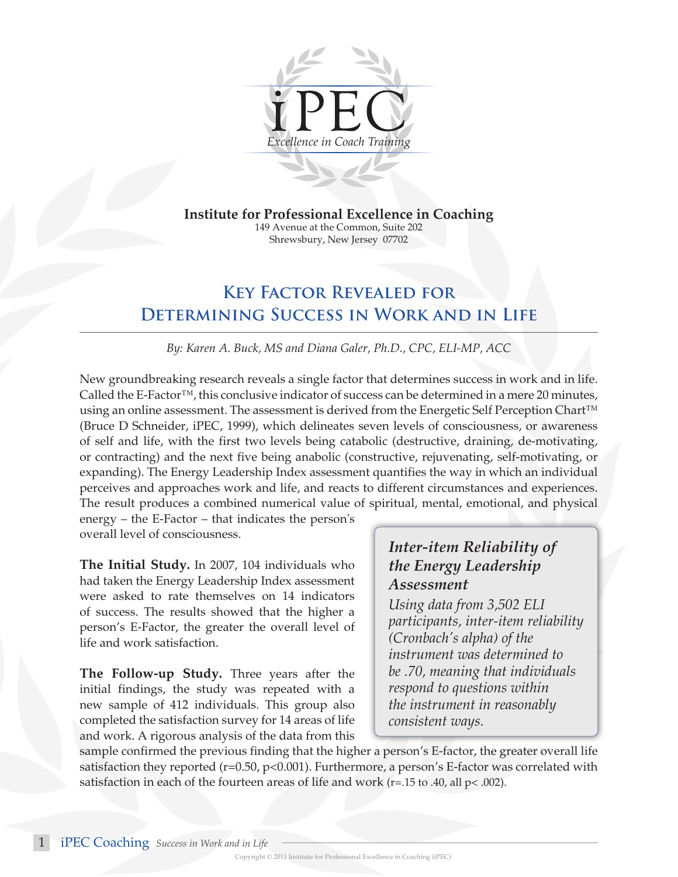

**Institute for Professional Excellence in Coaching** 

149 Avenue at the Common, Suite 202 Shrewsbury, New Jersey 07702

## **Key Factor Revealed for Determining Success in Work and in Life**

*By: Karen A. Buck, MS and Diana Galer, Ph.D., CPC, ELI-MP, ACC*

New groundbreaking research reveals a single factor that determines success in work and in life. Called the E-Factor™, this conclusive indicator of success can be determined in a mere 20 minutes, using an online assessment. The assessment is derived from the Energetic Self Perception Chart™ (Bruce D Schneider, iPEC, 1999), which delineates seven levels of consciousness, or awareness of self and life, with the first two levels being catabolic (destructive, draining, de-motivating, or contracting) and the next five being anabolic (constructive, rejuvenating, self-motivating, or expanding). The Energy Leadership Index assessment quantifies the way in which an individual perceives and approaches work and life, and reacts to different circumstances and experiences. The result produces a combined numerical value of spiritual, mental, emotional, and physical

energy – the E-Factor – that indicates the person's overall level of consciousness.

**The Initial Study.** In 2007, 104 individuals who had taken the Energy Leadership Index assessment were asked to rate themselves on 14 indicators of success. The results showed that the higher a person's E-Factor, the greater the overall level of life and work satisfaction.

**The Follow-up Study.** Three years after the initial findings, the study was repeated with a new sample of 412 individuals. This group also completed the satisfaction survey for 14 areas of life and work. A rigorous analysis of the data from this

## *Inter-item Reliability of the Energy Leadership Assessment*

*Using data from 3,502 ELI participants, inter-item reliability (Cronbach's alpha) of the instrument was determined to be .70, meaning that individuals respond to questions within the instrument in reasonably consistent ways.*

sample confirmed the previous finding that the higher a person's E-factor, the greater overall life satisfaction they reported (r=0.50, p<0.001). Furthermore, a person's E-factor was correlated with satisfaction in each of the fourteen areas of life and work ( $r=15$  to .40, all  $p<$  .002).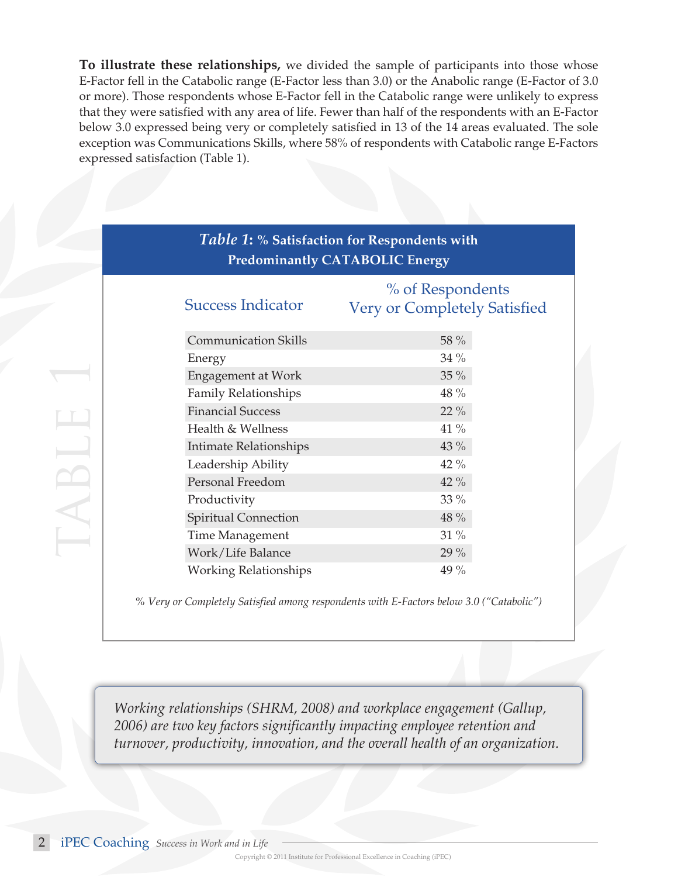**To illustrate these relationships,** we divided the sample of participants into those whose E-Factor fell in the Catabolic range (E-Factor less than 3.0) or the Anabolic range (E-Factor of 3.0 or more). Those respondents whose E-Factor fell in the Catabolic range were unlikely to express that they were satisfied with any area of life. Fewer than half of the respondents with an E-Factor below 3.0 expressed being very or completely satisfied in 13 of the 14 areas evaluated. The sole exception was Communications Skills, where 58% of respondents with Catabolic range E-Factors expressed satisfaction (Table 1).

| Table 1: % Satisfaction for Respondents with<br><b>Predominantly CATABOLIC Energy</b> |                                                         |  |  |  |
|---------------------------------------------------------------------------------------|---------------------------------------------------------|--|--|--|
| <b>Success Indicator</b>                                                              | % of Respondents<br><b>Very or Completely Satisfied</b> |  |  |  |
| <b>Communication Skills</b>                                                           | 58 %                                                    |  |  |  |
| Energy                                                                                | 34 %                                                    |  |  |  |
| Engagement at Work                                                                    | 35 %                                                    |  |  |  |
| <b>Family Relationships</b>                                                           | 48 %                                                    |  |  |  |
| <b>Financial Success</b>                                                              | 22 %                                                    |  |  |  |
| Health & Wellness                                                                     | 41 %                                                    |  |  |  |
| Intimate Relationships                                                                | 43 %                                                    |  |  |  |
| Leadership Ability                                                                    | 42 %                                                    |  |  |  |
| Personal Freedom                                                                      | 42 %                                                    |  |  |  |
| Productivity                                                                          | $33\%$                                                  |  |  |  |
| <b>Spiritual Connection</b>                                                           | 48 %                                                    |  |  |  |
| Time Management                                                                       | 31 %                                                    |  |  |  |
| Work/Life Balance                                                                     | 29 %                                                    |  |  |  |
| <b>Working Relationships</b>                                                          | 49 %                                                    |  |  |  |

*% Very or Completely Satisfied among respondents with E-Factors below 3.0 ("Catabolic")*

*Working relationships (SHRM, 2008) and workplace engagement (Gallup, 2006) are two key factors significantly impacting employee retention and turnover, productivity, innovation, and the overall health of an organization.*

table 1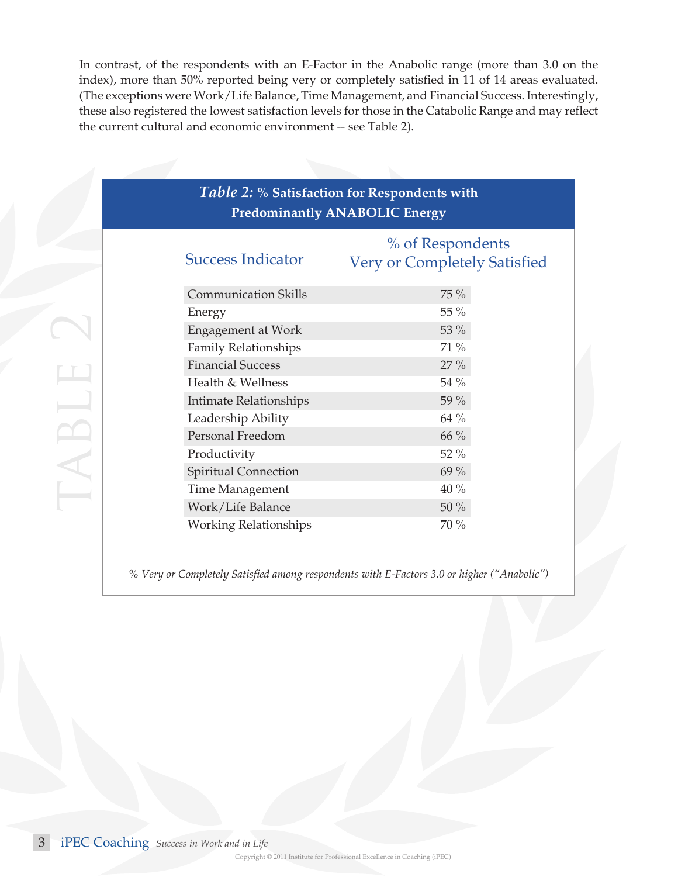In contrast, of the respondents with an E-Factor in the Anabolic range (more than 3.0 on the index), more than 50% reported being very or completely satisfied in 11 of 14 areas evaluated. (The exceptions were Work/Life Balance, Time Management, and Financial Success. Interestingly, these also registered the lowest satisfaction levels for those in the Catabolic Range and may reflect the current cultural and economic environment -- see Table 2).

| <b>Predominantly ANABOLIC Energy</b> |                                                  |  |  |  |
|--------------------------------------|--------------------------------------------------|--|--|--|
| <b>Success Indicator</b>             | % of Respondents<br>Very or Completely Satisfied |  |  |  |
| <b>Communication Skills</b>          | 75 %                                             |  |  |  |
| Energy                               | 55 %                                             |  |  |  |
| <b>Engagement at Work</b>            | 53 %                                             |  |  |  |
| Family Relationships                 | 71 %                                             |  |  |  |
| <b>Financial Success</b>             | 27 %                                             |  |  |  |
| Health & Wellness                    | 54 %                                             |  |  |  |
| Intimate Relationships               | 59 %                                             |  |  |  |
| Leadership Ability                   | 64 %                                             |  |  |  |
| Personal Freedom                     | 66 %                                             |  |  |  |
| Productivity                         | 52 %                                             |  |  |  |
| Spiritual Connection                 | 69 %                                             |  |  |  |
| Time Management                      | $40\%$                                           |  |  |  |
| Work/Life Balance                    | $50\ \%$                                         |  |  |  |
| <b>Working Relationships</b>         | $70\%$                                           |  |  |  |

*% Very or Completely Satisfied among respondents with E-Factors 3.0 or higher ("Anabolic")*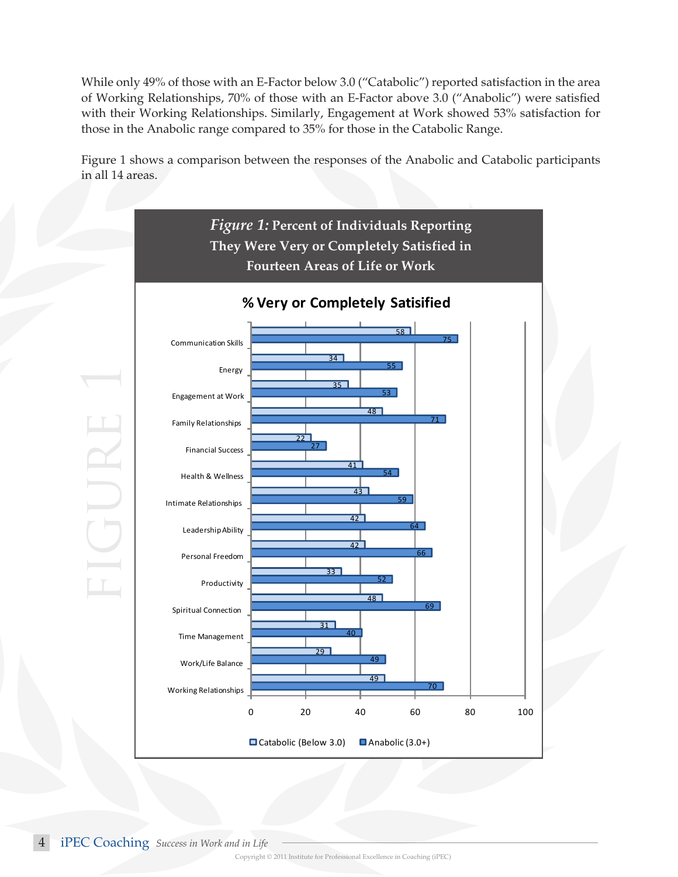While only 49% of those with an E-Factor below 3.0 ("Catabolic") reported satisfaction in the area of Working Relationships, 70% of those with an E-Factor above 3.0 ("Anabolic") were satisfied with their Working Relationships. Similarly, Engagement at Work showed 53% satisfaction for those in the Anabolic range compared to 35% for those in the Catabolic Range.

Figure 1 shows a comparison between the responses of the Anabolic and Catabolic participants in all 14 areas.



iPEC Coaching *Success in Work and in Life*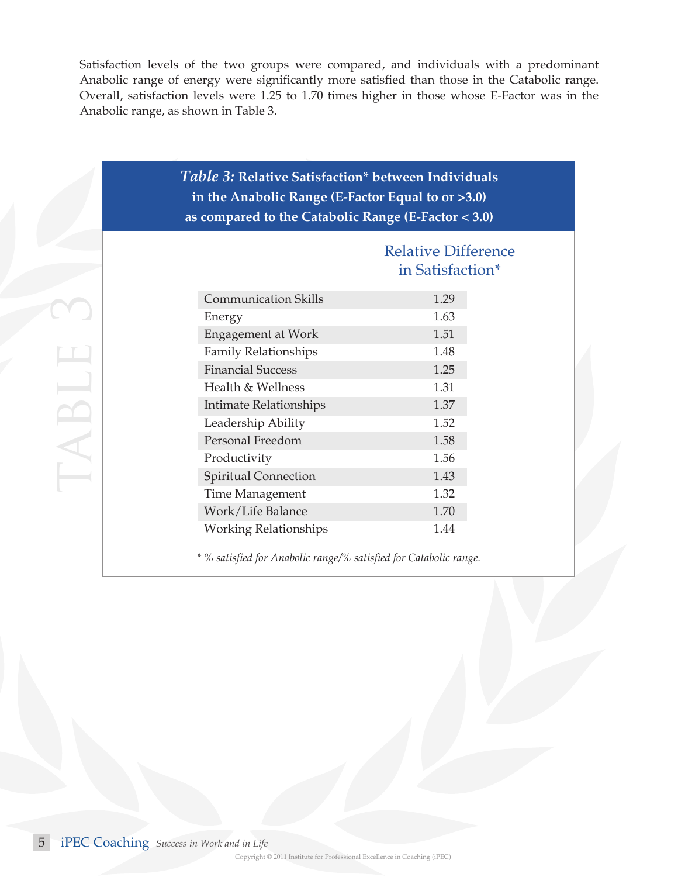Satisfaction levels of the two groups were compared, and individuals with a predominant Anabolic range of energy were significantly more satisfied than those in the Catabolic range. Overall, satisfaction levels were 1.25 to 1.70 times higher in those whose E-Factor was in the Anabolic range, as shown in Table 3.

| <b>Table 3: Relative Satisfaction* between Individuals</b><br>in the Anabolic Range (E-Factor Equal to or $>3.0$ )<br>as compared to the Catabolic Range (E-Factor $<$ 3.0) |                                                |  |  |  |
|-----------------------------------------------------------------------------------------------------------------------------------------------------------------------------|------------------------------------------------|--|--|--|
|                                                                                                                                                                             | <b>Relative Difference</b><br>in Satisfaction* |  |  |  |
| <b>Communication Skills</b>                                                                                                                                                 | 1.29                                           |  |  |  |
| Energy                                                                                                                                                                      | 1.63                                           |  |  |  |
| <b>Engagement at Work</b>                                                                                                                                                   | 1.51                                           |  |  |  |
| <b>Family Relationships</b>                                                                                                                                                 | 1.48                                           |  |  |  |
| <b>Financial Success</b>                                                                                                                                                    | 1.25                                           |  |  |  |
| Health & Wellness                                                                                                                                                           | 1.31                                           |  |  |  |
| Intimate Relationships                                                                                                                                                      | 1.37                                           |  |  |  |
| Leadership Ability                                                                                                                                                          | 1.52                                           |  |  |  |
| Personal Freedom                                                                                                                                                            | 1.58                                           |  |  |  |
| Productivity                                                                                                                                                                | 1.56                                           |  |  |  |
| Spiritual Connection                                                                                                                                                        | 1.43                                           |  |  |  |
| Time Management                                                                                                                                                             | 1.32                                           |  |  |  |
| Work/Life Balance                                                                                                                                                           | 1.70                                           |  |  |  |
| <b>Working Relationships</b>                                                                                                                                                | 144                                            |  |  |  |

*\* % satisfied for Anabolic range/% satisfied for Catabolic range.*

table 3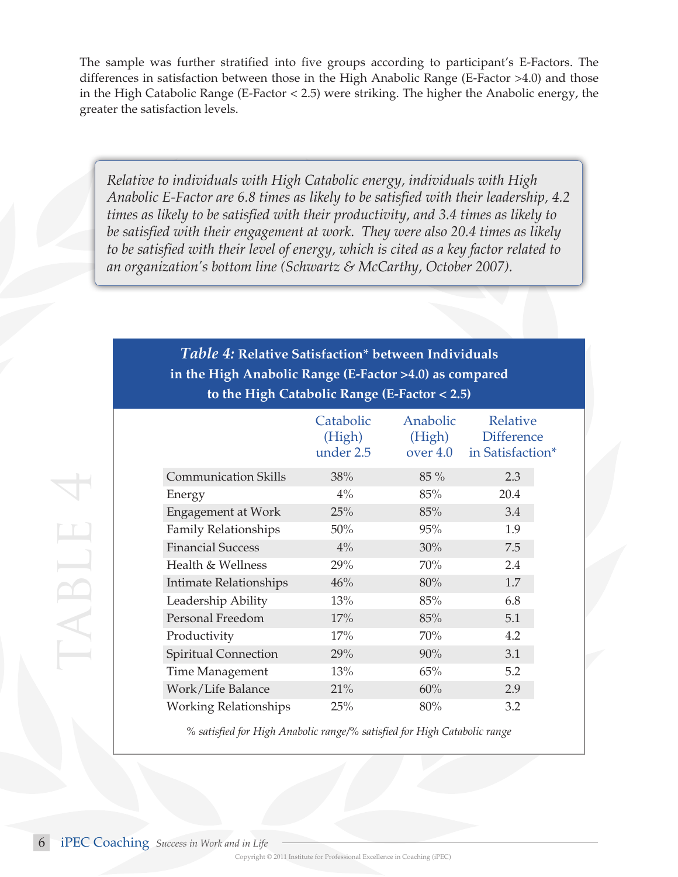The sample was further stratified into five groups according to participant's E-Factors. The differences in satisfaction between those in the High Anabolic Range (E-Factor >4.0) and those in the High Catabolic Range (E-Factor < 2.5) were striking. The higher the Anabolic energy, the greater the satisfaction levels.

*Relative to individuals with High Catabolic energy, individuals with High Anabolic E-Factor are 6.8 times as likely to be satisfied with their leadership, 4.2 times as likely to be satisfied with their productivity, and 3.4 times as likely to be satisfied with their engagement at work. They were also 20.4 times as likely to be satisfied with their level of energy, which is cited as a key factor related to an organization's bottom line (Schwartz & McCarthy, October 2007).*

## *Table 4:* **Relative Satisfaction\* between Individuals in the High Anabolic Range (E-Factor >4.0) as compared to the High Catabolic Range (E-Factor < 2.5)**

|                               | Catabolic<br>(High)<br>under 2.5 | Anabolic<br>(High)<br>over 4.0 | Relative<br><b>Difference</b><br>in Satisfaction* |
|-------------------------------|----------------------------------|--------------------------------|---------------------------------------------------|
| <b>Communication Skills</b>   | 38%                              | $85\%$                         | 2.3                                               |
| Energy                        | $4\%$                            | 85%                            | 20.4                                              |
| Engagement at Work            | 25%                              | 85%                            | 3.4                                               |
| <b>Family Relationships</b>   | 50%                              | 95%                            | 1.9                                               |
| <b>Financial Success</b>      | $4\%$                            | 30%                            | 7.5                                               |
| Health & Wellness             | 29%                              | 70%                            | 2.4                                               |
| <b>Intimate Relationships</b> | 46%                              | 80%                            | 1.7                                               |
| Leadership Ability            | 13%                              | 85%                            | 6.8                                               |
| Personal Freedom              | 17%                              | 85%                            | 5.1                                               |
| Productivity                  | 17%                              | 70%                            | 4.2                                               |
| <b>Spiritual Connection</b>   | 29%                              | 90%                            | 3.1                                               |
| <b>Time Management</b>        | 13%                              | 65%                            | 5.2                                               |
| Work/Life Balance             | 21%                              | 60%                            | 2.9                                               |
| <b>Working Relationships</b>  | 25%                              | 80%                            | 3.2                                               |

*% satisfied for High Anabolic range/% satisfied for High Catabolic range*

table 4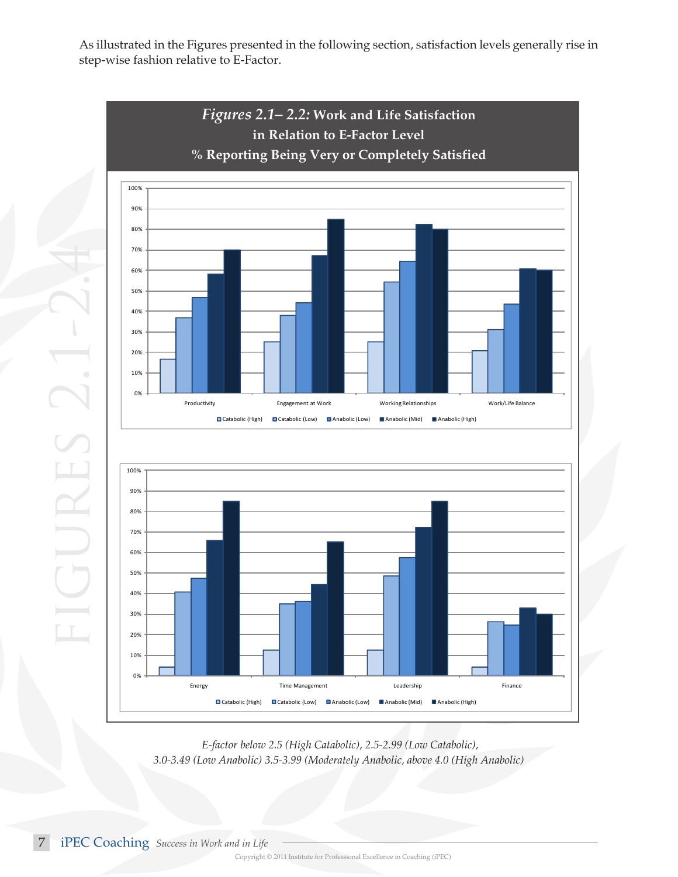As illustrated in the Figures presented in the following section, satisfaction levels generally rise in step-wise fashion relative to E-Factor.



 *E-factor below 2.5 (High Catabolic), 2.5-2.99 (Low Catabolic), 3.0-3.49 (Low Anabolic) 3.5-3.99 (Moderately Anabolic, above 4.0 (High Anabolic)*

7 iPEC Coaching *Success in Work and in Life*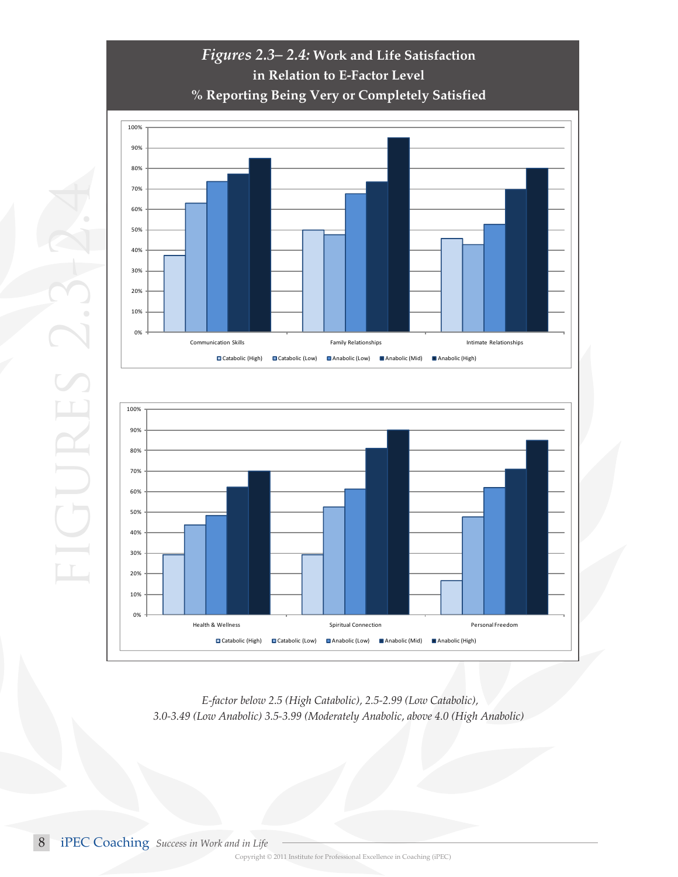

 *E-factor below 2.5 (High Catabolic), 2.5-2.99 (Low Catabolic), 3.0-3.49 (Low Anabolic) 3.5-3.99 (Moderately Anabolic, above 4.0 (High Anabolic)*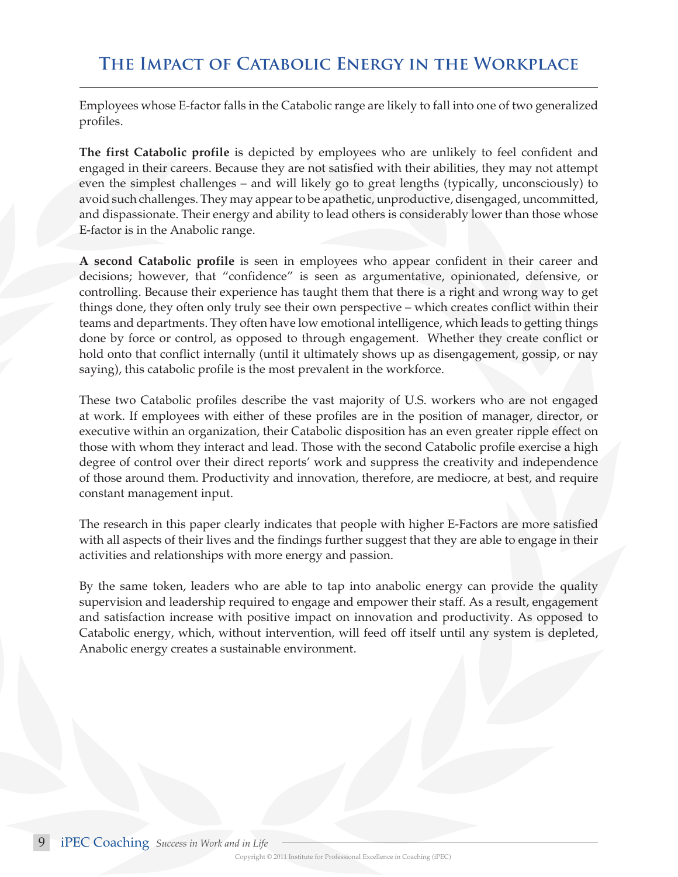Employees whose E-factor falls in the Catabolic range are likely to fall into one of two generalized profiles.

**The first Catabolic profile** is depicted by employees who are unlikely to feel confident and engaged in their careers. Because they are not satisfied with their abilities, they may not attempt even the simplest challenges – and will likely go to great lengths (typically, unconsciously) to avoid such challenges. They may appear to be apathetic, unproductive, disengaged, uncommitted, and dispassionate. Their energy and ability to lead others is considerably lower than those whose E-factor is in the Anabolic range.

**A second Catabolic profile** is seen in employees who appear confident in their career and decisions; however, that "confidence" is seen as argumentative, opinionated, defensive, or controlling. Because their experience has taught them that there is a right and wrong way to get things done, they often only truly see their own perspective – which creates conflict within their teams and departments. They often have low emotional intelligence, which leads to getting things done by force or control, as opposed to through engagement. Whether they create conflict or hold onto that conflict internally (until it ultimately shows up as disengagement, gossip, or nay saying), this catabolic profile is the most prevalent in the workforce.

These two Catabolic profiles describe the vast majority of U.S. workers who are not engaged at work. If employees with either of these profiles are in the position of manager, director, or executive within an organization, their Catabolic disposition has an even greater ripple effect on those with whom they interact and lead. Those with the second Catabolic profile exercise a high degree of control over their direct reports' work and suppress the creativity and independence of those around them. Productivity and innovation, therefore, are mediocre, at best, and require constant management input.

The research in this paper clearly indicates that people with higher E-Factors are more satisfied with all aspects of their lives and the findings further suggest that they are able to engage in their activities and relationships with more energy and passion.

By the same token, leaders who are able to tap into anabolic energy can provide the quality supervision and leadership required to engage and empower their staff. As a result, engagement and satisfaction increase with positive impact on innovation and productivity. As opposed to Catabolic energy, which, without intervention, will feed off itself until any system is depleted, Anabolic energy creates a sustainable environment.